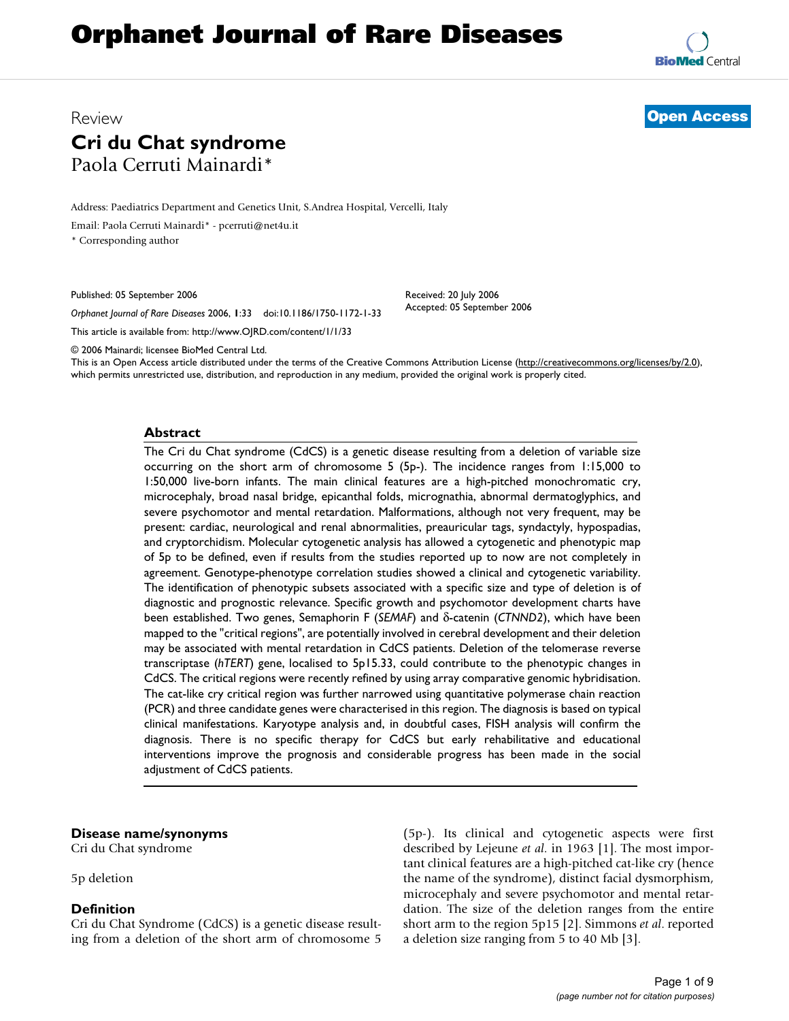# **Orphanet Journal of Rare Diseases**

**[BioMed](http://www.biomedcentral.com/)** Central

## Review **[Open Access](http://www.biomedcentral.com/info/about/charter/) Cri du Chat syndrome** Paola Cerruti Mainardi\*

Address: Paediatrics Department and Genetics Unit, S.Andrea Hospital, Vercelli, Italy

Email: Paola Cerruti Mainardi\* - pcerruti@net4u.it

\* Corresponding author

Published: 05 September 2006

*Orphanet Journal of Rare Diseases* 2006, **1**:33 doi:10.1186/1750-1172-1-33

[This article is available from: http://www.OJRD.com/content/1/1/33](http://www.OJRD.com/content/1/1/33)

© 2006 Mainardi; licensee BioMed Central Ltd.

This is an Open Access article distributed under the terms of the Creative Commons Attribution License [\(http://creativecommons.org/licenses/by/2.0\)](http://creativecommons.org/licenses/by/2.0), which permits unrestricted use, distribution, and reproduction in any medium, provided the original work is properly cited.

Received: 20 July 2006 Accepted: 05 September 2006

#### **Abstract**

The Cri du Chat syndrome (CdCS) is a genetic disease resulting from a deletion of variable size occurring on the short arm of chromosome 5 (5p-). The incidence ranges from 1:15,000 to 1:50,000 live-born infants. The main clinical features are a high-pitched monochromatic cry, microcephaly, broad nasal bridge, epicanthal folds, micrognathia, abnormal dermatoglyphics, and severe psychomotor and mental retardation. Malformations, although not very frequent, may be present: cardiac, neurological and renal abnormalities, preauricular tags, syndactyly, hypospadias, and cryptorchidism. Molecular cytogenetic analysis has allowed a cytogenetic and phenotypic map of 5p to be defined, even if results from the studies reported up to now are not completely in agreement. Genotype-phenotype correlation studies showed a clinical and cytogenetic variability. The identification of phenotypic subsets associated with a specific size and type of deletion is of diagnostic and prognostic relevance. Specific growth and psychomotor development charts have been established. Two genes, Semaphorin F (*SEMAF*) and δ-catenin (*CTNND2*), which have been mapped to the "critical regions", are potentially involved in cerebral development and their deletion may be associated with mental retardation in CdCS patients. Deletion of the telomerase reverse transcriptase (*hTERT*) gene, localised to 5p15.33, could contribute to the phenotypic changes in CdCS. The critical regions were recently refined by using array comparative genomic hybridisation. The cat-like cry critical region was further narrowed using quantitative polymerase chain reaction (PCR) and three candidate genes were characterised in this region. The diagnosis is based on typical clinical manifestations. Karyotype analysis and, in doubtful cases, FISH analysis will confirm the diagnosis. There is no specific therapy for CdCS but early rehabilitative and educational interventions improve the prognosis and considerable progress has been made in the social adjustment of CdCS patients.

#### **Disease name/synonyms**

Cri du Chat syndrome

5p deletion

#### **Definition**

Cri du Chat Syndrome (CdCS) is a genetic disease resulting from a deletion of the short arm of chromosome 5

(5p-). Its clinical and cytogenetic aspects were first described by Lejeune *et al*. in 1963 [1]. The most important clinical features are a high-pitched cat-like cry (hence the name of the syndrome), distinct facial dysmorphism, microcephaly and severe psychomotor and mental retardation. The size of the deletion ranges from the entire short arm to the region 5p15 [2]. Simmons *et al*. reported a deletion size ranging from 5 to 40 Mb [3].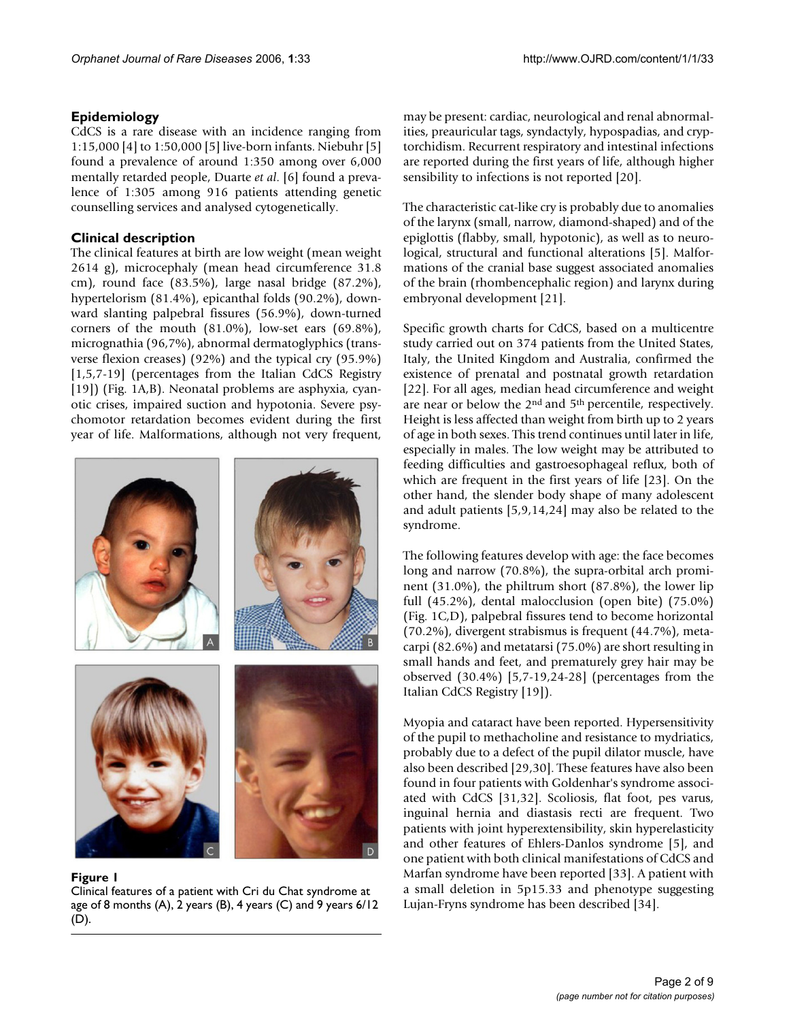#### **Epidemiology**

CdCS is a rare disease with an incidence ranging from 1:15,000 [4] to 1:50,000 [5] live-born infants. Niebuhr [5] found a prevalence of around 1:350 among over 6,000 mentally retarded people, Duarte *et al*. [6] found a prevalence of 1:305 among 916 patients attending genetic counselling services and analysed cytogenetically.

#### **Clinical description**

The clinical features at birth are low weight (mean weight 2614 g), microcephaly (mean head circumference 31.8 cm), round face (83.5%), large nasal bridge (87.2%), hypertelorism (81.4%), epicanthal folds (90.2%), downward slanting palpebral fissures (56.9%), down-turned corners of the mouth (81.0%), low-set ears (69.8%), micrognathia (96,7%), abnormal dermatoglyphics (transverse flexion creases) (92%) and the typical cry (95.9%) [1,5,7-19] (percentages from the Italian CdCS Registry [19]) (Fig. 1A,B). Neonatal problems are asphyxia, cyanotic crises, impaired suction and hypotonia. Severe psychomotor retardation becomes evident during the first year of life. Malformations, although not very frequent,



Figure 1

Clinical features of a patient with Cri du Chat syndrome at age of 8 months (A), 2 years (B), 4 years (C) and 9 years 6/12 (D).

may be present: cardiac, neurological and renal abnormalities, preauricular tags, syndactyly, hypospadias, and cryptorchidism. Recurrent respiratory and intestinal infections are reported during the first years of life, although higher sensibility to infections is not reported [20].

The characteristic cat-like cry is probably due to anomalies of the larynx (small, narrow, diamond-shaped) and of the epiglottis (flabby, small, hypotonic), as well as to neurological, structural and functional alterations [5]. Malformations of the cranial base suggest associated anomalies of the brain (rhombencephalic region) and larynx during embryonal development [21].

Specific growth charts for CdCS, based on a multicentre study carried out on 374 patients from the United States, Italy, the United Kingdom and Australia, confirmed the existence of prenatal and postnatal growth retardation [22]. For all ages, median head circumference and weight are near or below the 2nd and 5th percentile, respectively. Height is less affected than weight from birth up to 2 years of age in both sexes. This trend continues until later in life, especially in males. The low weight may be attributed to feeding difficulties and gastroesophageal reflux, both of which are frequent in the first years of life [23]. On the other hand, the slender body shape of many adolescent and adult patients [5,9,14,24] may also be related to the syndrome.

The following features develop with age: the face becomes long and narrow (70.8%), the supra-orbital arch prominent (31.0%), the philtrum short (87.8%), the lower lip full (45.2%), dental malocclusion (open bite) (75.0%) (Fig. 1C,D), palpebral fissures tend to become horizontal (70.2%), divergent strabismus is frequent (44.7%), metacarpi (82.6%) and metatarsi (75.0%) are short resulting in small hands and feet, and prematurely grey hair may be observed (30.4%) [5,7-19,24-28] (percentages from the Italian CdCS Registry [19]).

Myopia and cataract have been reported. Hypersensitivity of the pupil to methacholine and resistance to mydriatics, probably due to a defect of the pupil dilator muscle, have also been described [29,30]. These features have also been found in four patients with Goldenhar's syndrome associated with CdCS [31,32]. Scoliosis, flat foot, pes varus, inguinal hernia and diastasis recti are frequent. Two patients with joint hyperextensibility, skin hyperelasticity and other features of Ehlers-Danlos syndrome [5], and one patient with both clinical manifestations of CdCS and Marfan syndrome have been reported [33]. A patient with a small deletion in 5p15.33 and phenotype suggesting Lujan-Fryns syndrome has been described [34].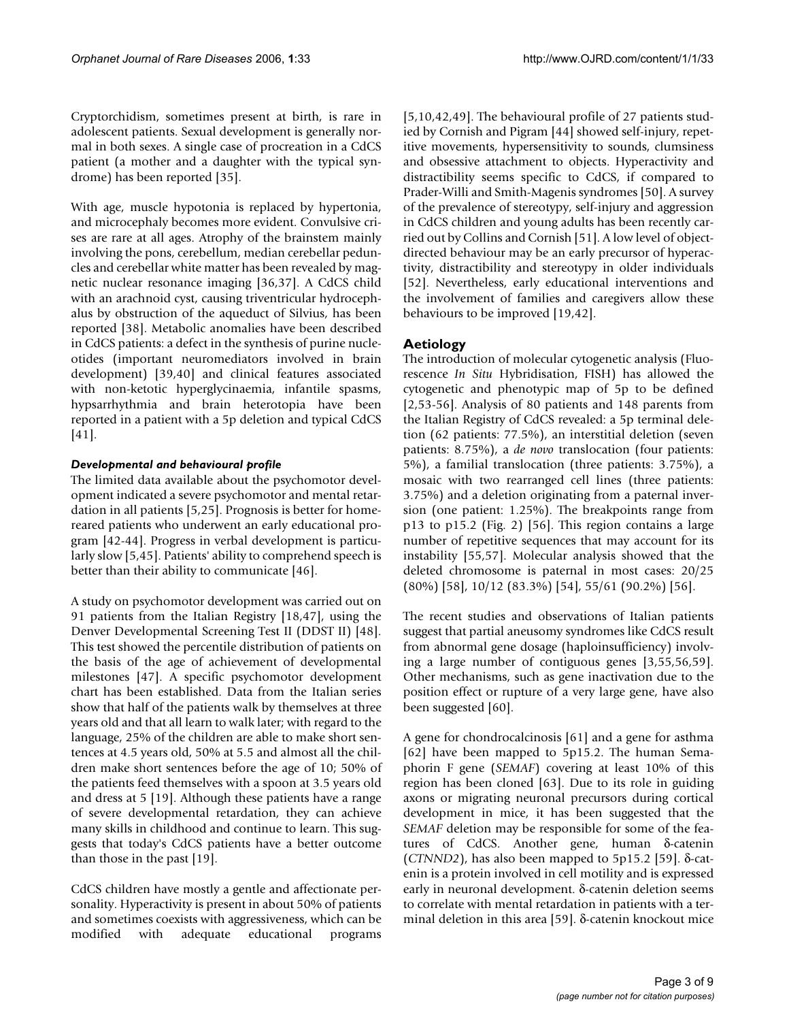Cryptorchidism, sometimes present at birth, is rare in adolescent patients. Sexual development is generally normal in both sexes. A single case of procreation in a CdCS patient (a mother and a daughter with the typical syndrome) has been reported [35].

With age, muscle hypotonia is replaced by hypertonia, and microcephaly becomes more evident. Convulsive crises are rare at all ages. Atrophy of the brainstem mainly involving the pons, cerebellum, median cerebellar peduncles and cerebellar white matter has been revealed by magnetic nuclear resonance imaging [36,37]. A CdCS child with an arachnoid cyst, causing triventricular hydrocephalus by obstruction of the aqueduct of Silvius, has been reported [38]. Metabolic anomalies have been described in CdCS patients: a defect in the synthesis of purine nucleotides (important neuromediators involved in brain development) [39,40] and clinical features associated with non-ketotic hyperglycinaemia, infantile spasms, hypsarrhythmia and brain heterotopia have been reported in a patient with a 5p deletion and typical CdCS [41].

#### *Developmental and behavioural profile*

The limited data available about the psychomotor development indicated a severe psychomotor and mental retardation in all patients [5,25]. Prognosis is better for homereared patients who underwent an early educational program [42-44]. Progress in verbal development is particularly slow [5,45]. Patients' ability to comprehend speech is better than their ability to communicate [46].

A study on psychomotor development was carried out on 91 patients from the Italian Registry [18,47], using the Denver Developmental Screening Test II (DDST II) [48]. This test showed the percentile distribution of patients on the basis of the age of achievement of developmental milestones [47]. A specific psychomotor development chart has been established. Data from the Italian series show that half of the patients walk by themselves at three years old and that all learn to walk later; with regard to the language, 25% of the children are able to make short sentences at 4.5 years old, 50% at 5.5 and almost all the children make short sentences before the age of 10; 50% of the patients feed themselves with a spoon at 3.5 years old and dress at 5 [19]. Although these patients have a range of severe developmental retardation, they can achieve many skills in childhood and continue to learn. This suggests that today's CdCS patients have a better outcome than those in the past [19].

CdCS children have mostly a gentle and affectionate personality. Hyperactivity is present in about 50% of patients and sometimes coexists with aggressiveness, which can be modified with adequate educational programs

[5,10,42,49]. The behavioural profile of 27 patients studied by Cornish and Pigram [44] showed self-injury, repetitive movements, hypersensitivity to sounds, clumsiness and obsessive attachment to objects. Hyperactivity and distractibility seems specific to CdCS, if compared to Prader-Willi and Smith-Magenis syndromes [50]. A survey of the prevalence of stereotypy, self-injury and aggression in CdCS children and young adults has been recently carried out by Collins and Cornish [51]. A low level of objectdirected behaviour may be an early precursor of hyperactivity, distractibility and stereotypy in older individuals [52]. Nevertheless, early educational interventions and the involvement of families and caregivers allow these behaviours to be improved [19,42].

### **Aetiology**

The introduction of molecular cytogenetic analysis (Fluorescence *In Situ* Hybridisation, FISH) has allowed the cytogenetic and phenotypic map of 5p to be defined [2,53-56]. Analysis of 80 patients and 148 parents from the Italian Registry of CdCS revealed: a 5p terminal deletion (62 patients: 77.5%), an interstitial deletion (seven patients: 8.75%), a *de novo* translocation (four patients: 5%), a familial translocation (three patients: 3.75%), a mosaic with two rearranged cell lines (three patients: 3.75%) and a deletion originating from a paternal inversion (one patient: 1.25%). The breakpoints range from p13 to p15.2 (Fig. 2) [56]. This region contains a large number of repetitive sequences that may account for its instability [55,57]. Molecular analysis showed that the deleted chromosome is paternal in most cases: 20/25 (80%) [58], 10/12 (83.3%) [54], 55/61 (90.2%) [56].

The recent studies and observations of Italian patients suggest that partial aneusomy syndromes like CdCS result from abnormal gene dosage (haploinsufficiency) involving a large number of contiguous genes [3,55,56,59]. Other mechanisms, such as gene inactivation due to the position effect or rupture of a very large gene, have also been suggested [60].

A gene for chondrocalcinosis [61] and a gene for asthma [62] have been mapped to 5p15.2. The human Semaphorin F gene (*SEMAF*) covering at least 10% of this region has been cloned [63]. Due to its role in guiding axons or migrating neuronal precursors during cortical development in mice, it has been suggested that the *SEMAF* deletion may be responsible for some of the features of CdCS. Another gene, human δ-catenin (*CTNND2*), has also been mapped to 5p15.2 [59]. δ-catenin is a protein involved in cell motility and is expressed early in neuronal development. δ-catenin deletion seems to correlate with mental retardation in patients with a terminal deletion in this area [59]. δ-catenin knockout mice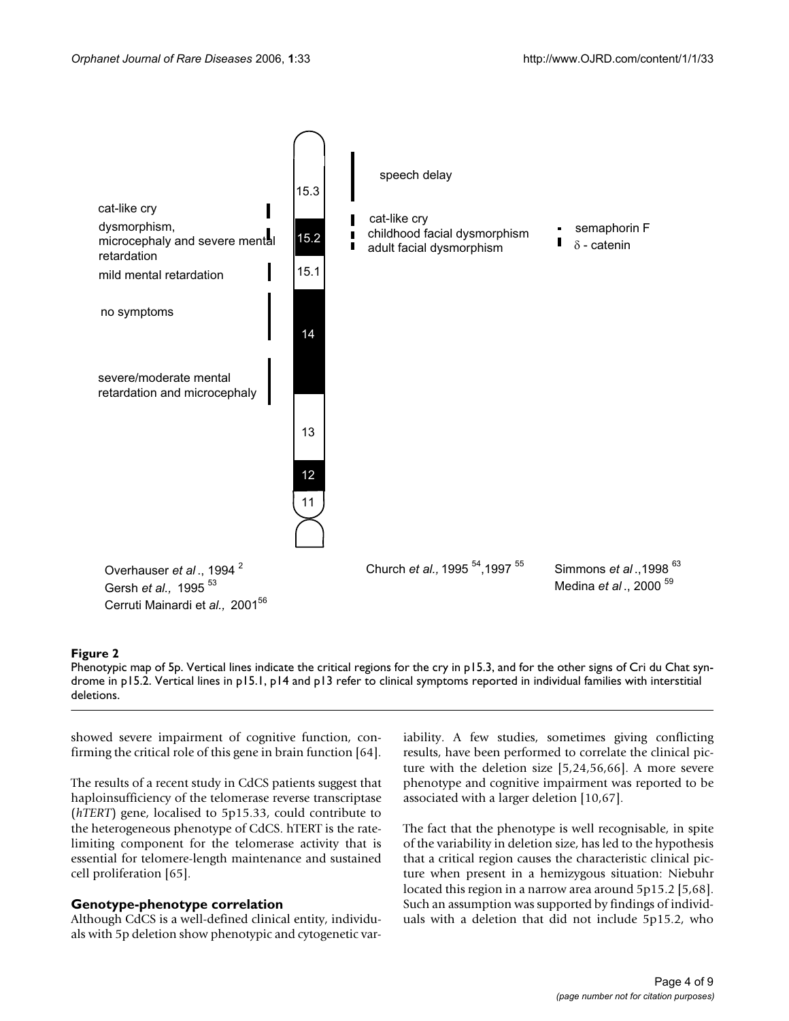

#### **Figure 2**

Phenotypic map of 5p. Vertical lines indicate the critical regions for the cry in p15.3, and for the other signs of Cri du Chat syndrome in p15.2. Vertical lines in p15.1, p14 and p13 refer to clinical symptoms reported in individual families with interstitial deletions.

showed severe impairment of cognitive function, confirming the critical role of this gene in brain function [64].

The results of a recent study in CdCS patients suggest that haploinsufficiency of the telomerase reverse transcriptase (*hTERT*) gene, localised to 5p15.33, could contribute to the heterogeneous phenotype of CdCS. hTERT is the ratelimiting component for the telomerase activity that is essential for telomere-length maintenance and sustained cell proliferation [65].

#### **Genotype-phenotype correlation**

Although CdCS is a well-defined clinical entity, individuals with 5p deletion show phenotypic and cytogenetic variability. A few studies, sometimes giving conflicting results, have been performed to correlate the clinical picture with the deletion size [5,24,56,66]. A more severe phenotype and cognitive impairment was reported to be associated with a larger deletion [10,67].

The fact that the phenotype is well recognisable, in spite of the variability in deletion size, has led to the hypothesis that a critical region causes the characteristic clinical picture when present in a hemizygous situation: Niebuhr located this region in a narrow area around 5p15.2 [5,68]. Such an assumption was supported by findings of individuals with a deletion that did not include 5p15.2, who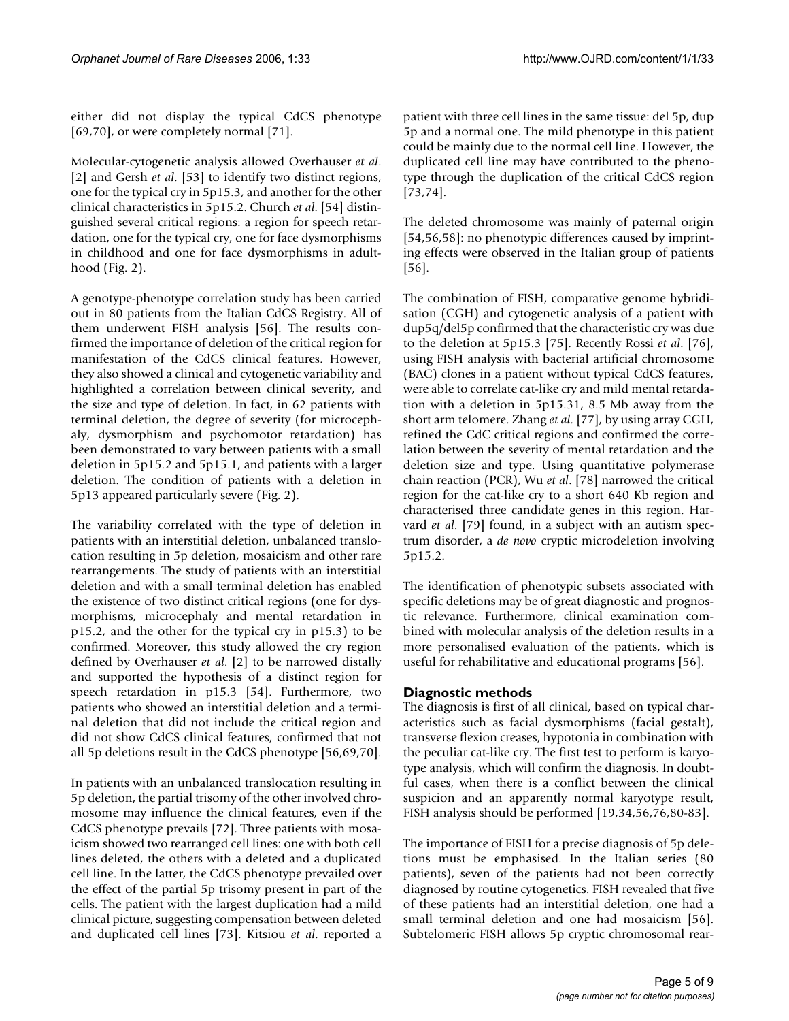either did not display the typical CdCS phenotype [69,70], or were completely normal [71].

Molecular-cytogenetic analysis allowed Overhauser *et al*. [2] and Gersh *et al.* [53] to identify two distinct regions, one for the typical cry in 5p15.3, and another for the other clinical characteristics in 5p15.2. Church *et al*. [54] distinguished several critical regions: a region for speech retardation, one for the typical cry, one for face dysmorphisms in childhood and one for face dysmorphisms in adulthood (Fig. 2).

A genotype-phenotype correlation study has been carried out in 80 patients from the Italian CdCS Registry. All of them underwent FISH analysis [56]. The results confirmed the importance of deletion of the critical region for manifestation of the CdCS clinical features. However, they also showed a clinical and cytogenetic variability and highlighted a correlation between clinical severity, and the size and type of deletion. In fact, in 62 patients with terminal deletion, the degree of severity (for microcephaly, dysmorphism and psychomotor retardation) has been demonstrated to vary between patients with a small deletion in 5p15.2 and 5p15.1, and patients with a larger deletion. The condition of patients with a deletion in 5p13 appeared particularly severe (Fig. 2).

The variability correlated with the type of deletion in patients with an interstitial deletion, unbalanced translocation resulting in 5p deletion, mosaicism and other rare rearrangements. The study of patients with an interstitial deletion and with a small terminal deletion has enabled the existence of two distinct critical regions (one for dysmorphisms, microcephaly and mental retardation in p15.2, and the other for the typical cry in p15.3) to be confirmed. Moreover, this study allowed the cry region defined by Overhauser *et al*. [2] to be narrowed distally and supported the hypothesis of a distinct region for speech retardation in p15.3 [54]. Furthermore, two patients who showed an interstitial deletion and a terminal deletion that did not include the critical region and did not show CdCS clinical features, confirmed that not all 5p deletions result in the CdCS phenotype [56,69,70].

In patients with an unbalanced translocation resulting in 5p deletion, the partial trisomy of the other involved chromosome may influence the clinical features, even if the CdCS phenotype prevails [72]. Three patients with mosaicism showed two rearranged cell lines: one with both cell lines deleted, the others with a deleted and a duplicated cell line. In the latter, the CdCS phenotype prevailed over the effect of the partial 5p trisomy present in part of the cells. The patient with the largest duplication had a mild clinical picture, suggesting compensation between deleted and duplicated cell lines [73]. Kitsiou *et al*. reported a

patient with three cell lines in the same tissue: del 5p, dup 5p and a normal one. The mild phenotype in this patient could be mainly due to the normal cell line. However, the duplicated cell line may have contributed to the phenotype through the duplication of the critical CdCS region [73,74].

The deleted chromosome was mainly of paternal origin [54,56,58]: no phenotypic differences caused by imprinting effects were observed in the Italian group of patients [56].

The combination of FISH, comparative genome hybridisation (CGH) and cytogenetic analysis of a patient with dup5q/del5p confirmed that the characteristic cry was due to the deletion at 5p15.3 [75]. Recently Rossi *et al*. [76], using FISH analysis with bacterial artificial chromosome (BAC) clones in a patient without typical CdCS features, were able to correlate cat-like cry and mild mental retardation with a deletion in 5p15.31, 8.5 Mb away from the short arm telomere. Zhang *et al*. [77], by using array CGH, refined the CdC critical regions and confirmed the correlation between the severity of mental retardation and the deletion size and type. Using quantitative polymerase chain reaction (PCR), Wu *et al*. [78] narrowed the critical region for the cat-like cry to a short 640 Kb region and characterised three candidate genes in this region. Harvard *et al*. [79] found, in a subject with an autism spectrum disorder, a *de novo* cryptic microdeletion involving 5p15.2.

The identification of phenotypic subsets associated with specific deletions may be of great diagnostic and prognostic relevance. Furthermore, clinical examination combined with molecular analysis of the deletion results in a more personalised evaluation of the patients, which is useful for rehabilitative and educational programs [56].

#### **Diagnostic methods**

The diagnosis is first of all clinical, based on typical characteristics such as facial dysmorphisms (facial gestalt), transverse flexion creases, hypotonia in combination with the peculiar cat-like cry. The first test to perform is karyotype analysis, which will confirm the diagnosis. In doubtful cases, when there is a conflict between the clinical suspicion and an apparently normal karyotype result, FISH analysis should be performed [19,34,56,76,80-83].

The importance of FISH for a precise diagnosis of 5p deletions must be emphasised. In the Italian series (80 patients), seven of the patients had not been correctly diagnosed by routine cytogenetics. FISH revealed that five of these patients had an interstitial deletion, one had a small terminal deletion and one had mosaicism [56]. Subtelomeric FISH allows 5p cryptic chromosomal rear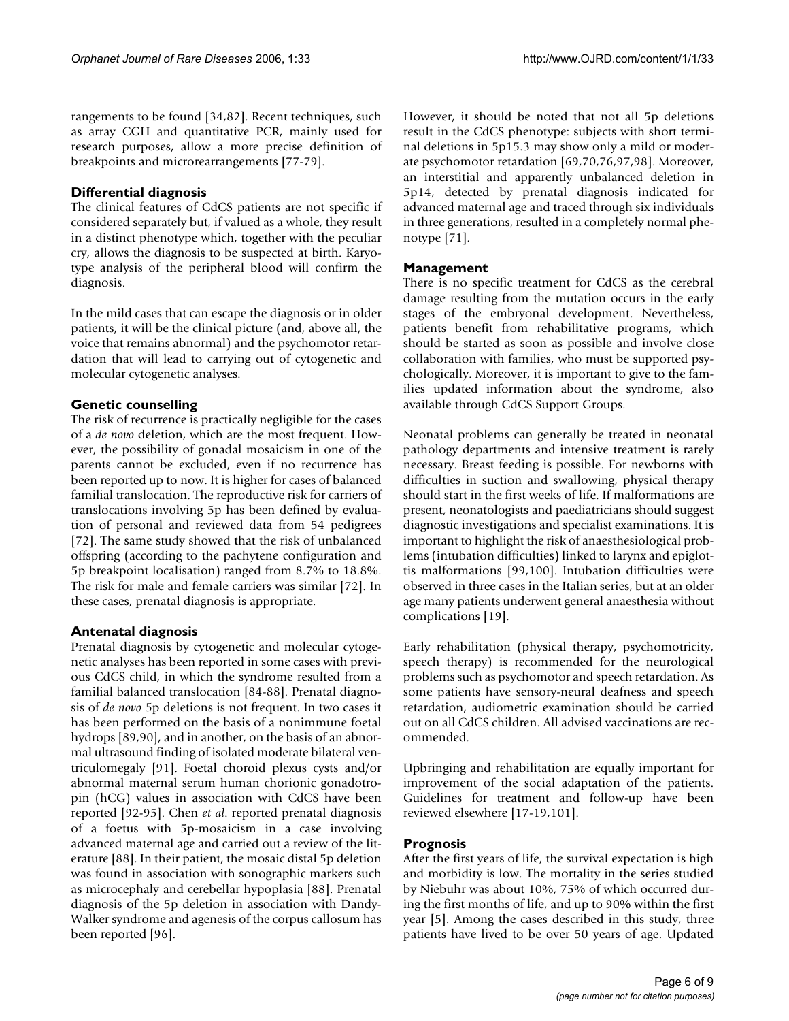rangements to be found [34,82]. Recent techniques, such as array CGH and quantitative PCR, mainly used for research purposes, allow a more precise definition of breakpoints and microrearrangements [77-79].

#### **Differential diagnosis**

The clinical features of CdCS patients are not specific if considered separately but, if valued as a whole, they result in a distinct phenotype which, together with the peculiar cry, allows the diagnosis to be suspected at birth. Karyotype analysis of the peripheral blood will confirm the diagnosis.

In the mild cases that can escape the diagnosis or in older patients, it will be the clinical picture (and, above all, the voice that remains abnormal) and the psychomotor retardation that will lead to carrying out of cytogenetic and molecular cytogenetic analyses.

#### **Genetic counselling**

The risk of recurrence is practically negligible for the cases of a *de novo* deletion, which are the most frequent. However, the possibility of gonadal mosaicism in one of the parents cannot be excluded, even if no recurrence has been reported up to now. It is higher for cases of balanced familial translocation. The reproductive risk for carriers of translocations involving 5p has been defined by evaluation of personal and reviewed data from 54 pedigrees [72]. The same study showed that the risk of unbalanced offspring (according to the pachytene configuration and 5p breakpoint localisation) ranged from 8.7% to 18.8%. The risk for male and female carriers was similar [72]. In these cases, prenatal diagnosis is appropriate.

#### **Antenatal diagnosis**

Prenatal diagnosis by cytogenetic and molecular cytogenetic analyses has been reported in some cases with previous CdCS child, in which the syndrome resulted from a familial balanced translocation [84-88]. Prenatal diagnosis of *de novo* 5p deletions is not frequent. In two cases it has been performed on the basis of a nonimmune foetal hydrops [89,90], and in another, on the basis of an abnormal ultrasound finding of isolated moderate bilateral ventriculomegaly [91]. Foetal choroid plexus cysts and/or abnormal maternal serum human chorionic gonadotropin (hCG) values in association with CdCS have been reported [92-95]. Chen *et al*. reported prenatal diagnosis of a foetus with 5p-mosaicism in a case involving advanced maternal age and carried out a review of the literature [88]. In their patient, the mosaic distal 5p deletion was found in association with sonographic markers such as microcephaly and cerebellar hypoplasia [88]. Prenatal diagnosis of the 5p deletion in association with Dandy-Walker syndrome and agenesis of the corpus callosum has been reported [96].

However, it should be noted that not all 5p deletions result in the CdCS phenotype: subjects with short terminal deletions in 5p15.3 may show only a mild or moderate psychomotor retardation [69,70,76,97,98]. Moreover, an interstitial and apparently unbalanced deletion in 5p14, detected by prenatal diagnosis indicated for advanced maternal age and traced through six individuals in three generations, resulted in a completely normal phenotype [71].

#### **Management**

There is no specific treatment for CdCS as the cerebral damage resulting from the mutation occurs in the early stages of the embryonal development. Nevertheless, patients benefit from rehabilitative programs, which should be started as soon as possible and involve close collaboration with families, who must be supported psychologically. Moreover, it is important to give to the families updated information about the syndrome, also available through CdCS Support Groups.

Neonatal problems can generally be treated in neonatal pathology departments and intensive treatment is rarely necessary. Breast feeding is possible. For newborns with difficulties in suction and swallowing, physical therapy should start in the first weeks of life. If malformations are present, neonatologists and paediatricians should suggest diagnostic investigations and specialist examinations. It is important to highlight the risk of anaesthesiological problems (intubation difficulties) linked to larynx and epiglottis malformations [99,100]. Intubation difficulties were observed in three cases in the Italian series, but at an older age many patients underwent general anaesthesia without complications [19].

Early rehabilitation (physical therapy, psychomotricity, speech therapy) is recommended for the neurological problems such as psychomotor and speech retardation. As some patients have sensory-neural deafness and speech retardation, audiometric examination should be carried out on all CdCS children. All advised vaccinations are recommended.

Upbringing and rehabilitation are equally important for improvement of the social adaptation of the patients. Guidelines for treatment and follow-up have been reviewed elsewhere [17-19,101].

#### **Prognosis**

After the first years of life, the survival expectation is high and morbidity is low. The mortality in the series studied by Niebuhr was about 10%, 75% of which occurred during the first months of life, and up to 90% within the first year [5]. Among the cases described in this study, three patients have lived to be over 50 years of age. Updated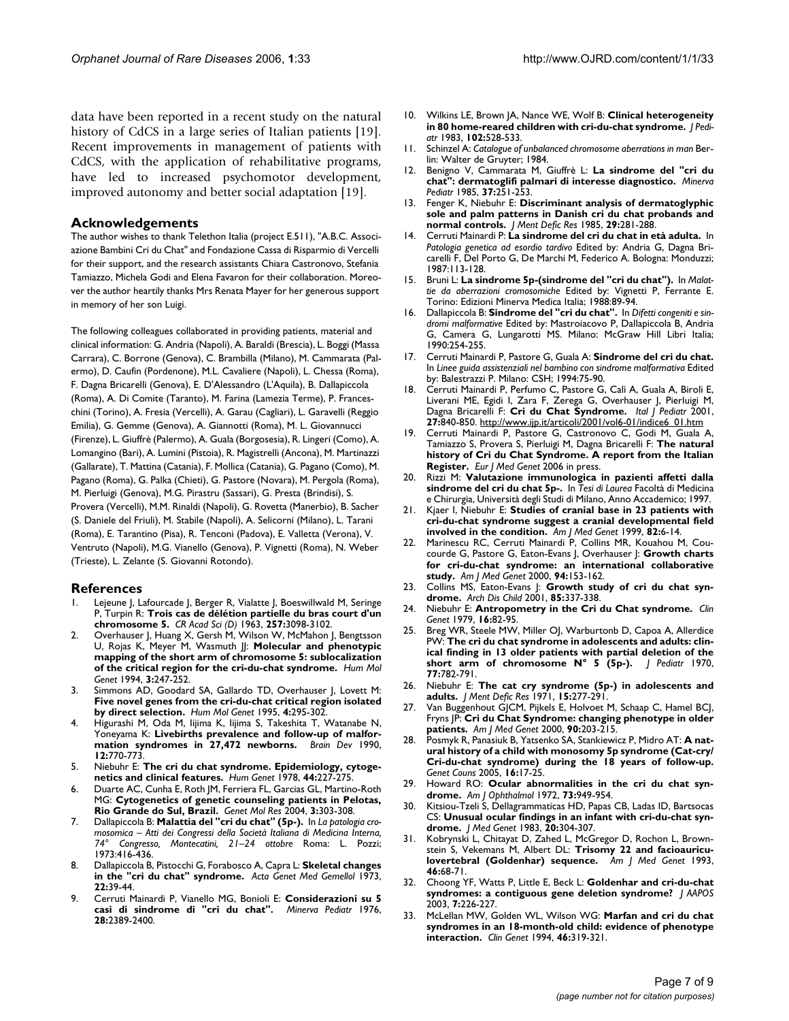data have been reported in a recent study on the natural history of CdCS in a large series of Italian patients [19]. Recent improvements in management of patients with CdCS, with the application of rehabilitative programs, have led to increased psychomotor development, improved autonomy and better social adaptation [19].

#### **Acknowledgements**

The author wishes to thank Telethon Italia (project E.511), "A.B.C. Associazione Bambini Cri du Chat" and Fondazione Cassa di Risparmio di Vercelli for their support, and the research assistants Chiara Castronovo, Stefania Tamiazzo, Michela Godi and Elena Favaron for their collaboration. Moreover the author heartily thanks Mrs Renata Mayer for her generous support in memory of her son Luigi.

The following colleagues collaborated in providing patients, material and clinical information: G. Andria (Napoli), A. Baraldi (Brescia), L. Boggi (Massa Carrara), C. Borrone (Genova), C. Brambilla (Milano), M. Cammarata (Palermo), D. Caufin (Pordenone), M.L. Cavaliere (Napoli), L. Chessa (Roma), F. Dagna Bricarelli (Genova), E. D'Alessandro (L'Aquila), B. Dallapiccola (Roma), A. Di Comite (Taranto), M. Farina (Lamezia Terme), P. Franceschini (Torino), A. Fresia (Vercelli), A. Garau (Cagliari), L. Garavelli (Reggio Emilia), G. Gemme (Genova), A. Giannotti (Roma), M. L. Giovannucci (Firenze), L. Giuffrè (Palermo), A. Guala (Borgosesia), R. Lingeri (Como), A. Lomangino (Bari), A. Lumini (Pistoia), R. Magistrelli (Ancona), M. Martinazzi (Gallarate), T. Mattina (Catania), F. Mollica (Catania), G. Pagano (Como), M. Pagano (Roma), G. Palka (Chieti), G. Pastore (Novara), M. Pergola (Roma), M. Pierluigi (Genova), M.G. Pirastru (Sassari), G. Presta (Brindisi), S. Provera (Vercelli), M.M. Rinaldi (Napoli), G. Rovetta (Manerbio), B. Sacher (S. Daniele del Friuli), M. Stabile (Napoli), A. Selicorni (Milano), L. Tarani (Roma), E. Tarantino (Pisa), R. Tenconi (Padova), E. Valletta (Verona), V. Ventruto (Napoli), M.G. Vianello (Genova), P. Vignetti (Roma), N. Weber (Trieste), L. Zelante (S. Giovanni Rotondo).

#### **References**

- Lejeune J, Lafourcade J, Berger R, Vialatte J, Boeswillwald M, Seringe P, Turpin R: **Trois cas de délétion partielle du bras court d'un chromosome 5.** *CR Acad Sci (D)* 1963, **257:**3098-3102.
- 2. Overhauser J, Huang X, Gersh M, Wilson W, McMahon J, Bengtsson U, Rojas K, Meyer M, Wasmuth JJ: **[Molecular and phenotypic](http://www.ncbi.nlm.nih.gov/entrez/query.fcgi?cmd=Retrieve&db=PubMed&dopt=Abstract&list_uids=8004090) [mapping of the short arm of chromosome 5: sublocalization](http://www.ncbi.nlm.nih.gov/entrez/query.fcgi?cmd=Retrieve&db=PubMed&dopt=Abstract&list_uids=8004090) [of the critical region for the cri-du-chat syndrome.](http://www.ncbi.nlm.nih.gov/entrez/query.fcgi?cmd=Retrieve&db=PubMed&dopt=Abstract&list_uids=8004090)** *Hum Mol Genet* 1994, **3:**247-252.
- Simmons AD, Goodard SA, Gallardo TD, Overhauser J, Lovett M: **[Five novel genes from the cri-du-chat critical region isolated](http://www.ncbi.nlm.nih.gov/entrez/query.fcgi?cmd=Retrieve&db=PubMed&dopt=Abstract&list_uids=7757083) [by direct selection.](http://www.ncbi.nlm.nih.gov/entrez/query.fcgi?cmd=Retrieve&db=PubMed&dopt=Abstract&list_uids=7757083)** *Hum Mol Genet* 1995, **4:**295-302.
- 4. Higurashi M, Oda M, Iijima K, Iijima S, Takeshita T, Watanabe N, Yoneyama K: **[Livebirths prevalence and follow-up of malfor](http://www.ncbi.nlm.nih.gov/entrez/query.fcgi?cmd=Retrieve&db=PubMed&dopt=Abstract&list_uids=2092586)[mation syndromes in 27,472 newborns.](http://www.ncbi.nlm.nih.gov/entrez/query.fcgi?cmd=Retrieve&db=PubMed&dopt=Abstract&list_uids=2092586)** *Brain Dev* 1990, **12:**770-773.
- 5. Niebuhr E: **[The cri du chat syndrome. Epidemiology, cytoge](http://www.ncbi.nlm.nih.gov/entrez/query.fcgi?cmd=Retrieve&db=PubMed&dopt=Abstract&list_uids=365706)[netics and clinical features.](http://www.ncbi.nlm.nih.gov/entrez/query.fcgi?cmd=Retrieve&db=PubMed&dopt=Abstract&list_uids=365706)** *Hum Genet* 1978, **44:**227-275.
- 6. Duarte AC, Cunha E, Roth JM, Ferriera FL, Garcias GL, Martino-Roth MG: **[Cytogenetics of genetic counseling patients in Pelotas,](http://www.ncbi.nlm.nih.gov/entrez/query.fcgi?cmd=Retrieve&db=PubMed&dopt=Abstract&list_uids=15614723) [Rio Grande do Sul, Brazil.](http://www.ncbi.nlm.nih.gov/entrez/query.fcgi?cmd=Retrieve&db=PubMed&dopt=Abstract&list_uids=15614723)** *Genet Mol Res* 2004, **3:**303-308.
- 7. Dallapiccola B: **Malattia del "cri du chat" (5p-).** In *La patologia cromosomica – Atti dei Congressi della Società Italiana di Medicina Interna, 74° Congresso, Montecatini, 21–24 ottobre* Roma: L. Pozzi; 1973:416-436.
- 8. Dallapiccola B, Pistocchi G, Forabosco A, Capra L: **[Skeletal changes](http://www.ncbi.nlm.nih.gov/entrez/query.fcgi?cmd=Retrieve&db=PubMed&dopt=Abstract&list_uids=4790795) [in the "cri du chat" syndrome.](http://www.ncbi.nlm.nih.gov/entrez/query.fcgi?cmd=Retrieve&db=PubMed&dopt=Abstract&list_uids=4790795)** *Acta Genet Med Gemellol* 1973, **22:**39-44.
- 9. Cerruti Mainardi P, Vianello MG, Bonioli E: **[Considerazioni su 5](http://www.ncbi.nlm.nih.gov/entrez/query.fcgi?cmd=Retrieve&db=PubMed&dopt=Abstract&list_uids=1012245) [casi di sindrome di "cri du chat".](http://www.ncbi.nlm.nih.gov/entrez/query.fcgi?cmd=Retrieve&db=PubMed&dopt=Abstract&list_uids=1012245)** *Minerva Pediatr* 1976, **28:**2389-2400.
- 10. Wilkins LE, Brown JA, Nance WE, Wolf B: **[Clinical heterogeneity](http://www.ncbi.nlm.nih.gov/entrez/query.fcgi?cmd=Retrieve&db=PubMed&dopt=Abstract&list_uids=6834187) [in 80 home-reared children with cri-du-chat syndrome.](http://www.ncbi.nlm.nih.gov/entrez/query.fcgi?cmd=Retrieve&db=PubMed&dopt=Abstract&list_uids=6834187)** *J Pediatr* 1983, **102:**528-533.
- 11. Schinzel A: *Catalogue of unbalanced chromosome aberrations in man* Berlin: Walter de Gruyter; 1984.
- 12. Benigno V, Cammarata M, Giuffrè L: **[La sindrome del "cri du](http://www.ncbi.nlm.nih.gov/entrez/query.fcgi?cmd=Retrieve&db=PubMed&dopt=Abstract&list_uids=4021951) [chat": dermatoglifi palmari di interesse diagnostico.](http://www.ncbi.nlm.nih.gov/entrez/query.fcgi?cmd=Retrieve&db=PubMed&dopt=Abstract&list_uids=4021951)** *Minerva Pediatr* 1985, **37:**251-253.
- 13. Fenger K, Niebuhr E: **[Discriminant analysis of dermatoglyphic](http://www.ncbi.nlm.nih.gov/entrez/query.fcgi?cmd=Retrieve&db=PubMed&dopt=Abstract&list_uids=4068037) [sole and palm patterns in Danish cri du chat probands and](http://www.ncbi.nlm.nih.gov/entrez/query.fcgi?cmd=Retrieve&db=PubMed&dopt=Abstract&list_uids=4068037) [normal controls.](http://www.ncbi.nlm.nih.gov/entrez/query.fcgi?cmd=Retrieve&db=PubMed&dopt=Abstract&list_uids=4068037)** *J Ment Defic Res* 1985, **29:**281-288.
- 14. Cerruti Mainardi P: **La sindrome del cri du chat in età adulta.** In *Patologia genetica ad esordio tardivo* Edited by: Andria G, Dagna Bricarelli F, Del Porto G, De Marchi M, Federico A. Bologna: Monduzzi; 1987:113-128.
- 15. Bruni L: **La sindrome 5p-(sindrome del "cri du chat").** In *Malattie da aberrazioni cromosomiche* Edited by: Vignetti P, Ferrante E. Torino: Edizioni Minerva Medica Italia; 1988:89-94.
- 16. Dallapiccola B: **Sindrome del "cri du chat".** In *Difetti congeniti e sindromi malformative* Edited by: Mastroiacovo P, Dallapiccola B, Andria G, Camera G, Lungarotti MS. Milano: McGraw Hill Libri Italia; 1990:254-255.
- 17. Cerruti Mainardi P, Pastore G, Guala A: **Sindrome del cri du chat.** In *Linee guida assistenziali nel bambino con sindrome malformativa* Edited by: Balestrazzi P. Milano: CSH; 1994:75-90.
- 18. Cerruti Mainardi P, Perfumo C, Pastore G, Calì A, Guala A, Biroli E, Liverani ME, Egidi I, Zara F, Zerega G, Overhauser J, Pierluigi M, Dagna Bricarelli F: **Cri du Chat Syndrome.** *Ital J Pediatr* 2001, **27:**840-850. [http://www.ijp.it/articoli/2001/vol6-01/indice6\\_01.htm](http://www.ijp.it/articoli/2001/vol6-01/indice6_01.htm)
- 19. Cerruti Mainardi P, Pastore G, Castronovo C, Godi M, Guala A, Tamiazzo S, Provera S, Pierluigi M, Dagna Bricarelli F: **The natural history of Cri du Chat Syndrome. A report from the Italian Register.** *Eur J Med Genet* 2006 in press.
- 20. Rizzi M: **Valutazione immunologica in pazienti affetti dalla sindrome del cri du chat 5p-.** In *Tesi di Laurea* Facoltà di Medicina e Chirurgia, Università degli Studi di Milano, Anno Accademico; 1997.
- 21. Kjaer I, Niebuhr E: **[Studies of cranial base in 23 patients with](http://www.ncbi.nlm.nih.gov/entrez/query.fcgi?cmd=Retrieve&db=PubMed&dopt=Abstract&list_uids=9916835) [cri-du-chat syndrome suggest a cranial developmental field](http://www.ncbi.nlm.nih.gov/entrez/query.fcgi?cmd=Retrieve&db=PubMed&dopt=Abstract&list_uids=9916835) [involved in the condition.](http://www.ncbi.nlm.nih.gov/entrez/query.fcgi?cmd=Retrieve&db=PubMed&dopt=Abstract&list_uids=9916835)** *Am J Med Genet* 1999, **82:**6-14.
- 22. Marinescu RC, Cerruti Mainardi P, Collins MR, Kouahou M, Coucourde G, Pastore G, Eaton-Evans J, Overhauser J: **[Growth charts](http://www.ncbi.nlm.nih.gov/entrez/query.fcgi?cmd=Retrieve&db=PubMed&dopt=Abstract&list_uids=10982972) [for cri-du-chat syndrome: an international collaborative](http://www.ncbi.nlm.nih.gov/entrez/query.fcgi?cmd=Retrieve&db=PubMed&dopt=Abstract&list_uids=10982972) [study.](http://www.ncbi.nlm.nih.gov/entrez/query.fcgi?cmd=Retrieve&db=PubMed&dopt=Abstract&list_uids=10982972)** *Am J Med Genet* 2000, **94:**153-162.
- 23. Collins MS, Eaton-Evans J: **[Growth study of cri du chat syn](http://www.ncbi.nlm.nih.gov/entrez/query.fcgi?cmd=Retrieve&db=PubMed&dopt=Abstract&list_uids=11567947)[drome.](http://www.ncbi.nlm.nih.gov/entrez/query.fcgi?cmd=Retrieve&db=PubMed&dopt=Abstract&list_uids=11567947)** *Arch Dis Child* 2001, **85:**337-338.
- 24. Niebuhr E: **[Antropometry in the Cri du Chat syndrome.](http://www.ncbi.nlm.nih.gov/entrez/query.fcgi?cmd=Retrieve&db=PubMed&dopt=Abstract&list_uids=477023)** *Clin Genet* 1979, **16:**82-95.
- Breg WR, Steele MW, Miller OJ, Warburtonb D, Capoa A, Allerdice PW: **[The cri du chat syndrome in adolescents and adults: clin](http://www.ncbi.nlm.nih.gov/entrez/query.fcgi?cmd=Retrieve&db=PubMed&dopt=Abstract&list_uids=5504069)[ical finding in 13 older patients with partial deletion of the](http://www.ncbi.nlm.nih.gov/entrez/query.fcgi?cmd=Retrieve&db=PubMed&dopt=Abstract&list_uids=5504069) [short arm of chromosome N° 5 \(5p-\).](http://www.ncbi.nlm.nih.gov/entrez/query.fcgi?cmd=Retrieve&db=PubMed&dopt=Abstract&list_uids=5504069)** *J Pediatr* 1970, **77:**782-791.
- 26. Niebuhr E: **[The cat cry syndrome \(5p-\) in adolescents and](http://www.ncbi.nlm.nih.gov/entrez/query.fcgi?cmd=Retrieve&db=PubMed&dopt=Abstract&list_uids=5173012) [adults.](http://www.ncbi.nlm.nih.gov/entrez/query.fcgi?cmd=Retrieve&db=PubMed&dopt=Abstract&list_uids=5173012)** *J Ment Defic Res* 1971, **15:**277-291.
- 27. Van Buggenhout GJCM, Pijkels E, Holvoet M, Schaap C, Hamel BCJ, Fryns JP: **[Cri du Chat Syndrome: changing phenotype in older](http://www.ncbi.nlm.nih.gov/entrez/query.fcgi?cmd=Retrieve&db=PubMed&dopt=Abstract&list_uids=10678657) [patients.](http://www.ncbi.nlm.nih.gov/entrez/query.fcgi?cmd=Retrieve&db=PubMed&dopt=Abstract&list_uids=10678657)** *Am J Med Genet* 2000, **90:**203-215.
- 28. Posmyk R, Panasiuk B, Yatsenko SA, Stankiewicz P, Midro AT: **[A nat](http://www.ncbi.nlm.nih.gov/entrez/query.fcgi?cmd=Retrieve&db=PubMed&dopt=Abstract&list_uids=15844774)[ural history of a child with monosomy 5p syndrome \(Cat-cry/](http://www.ncbi.nlm.nih.gov/entrez/query.fcgi?cmd=Retrieve&db=PubMed&dopt=Abstract&list_uids=15844774) Cri-du-chat syndrome) during the 18 years of follow-up.** *Genet Couns* 2005, **16:**17-25.
- 29. Howard RO: **[Ocular abnormalities in the cri du chat syn](http://www.ncbi.nlm.nih.gov/entrez/query.fcgi?cmd=Retrieve&db=PubMed&dopt=Abstract&list_uids=4624375)[drome.](http://www.ncbi.nlm.nih.gov/entrez/query.fcgi?cmd=Retrieve&db=PubMed&dopt=Abstract&list_uids=4624375)** *Am J Ophthalmol* 1972, **73:**949-954.
- 30. Kitsiou-Tzeli S, Dellagrammaticas HD, Papas CB, Ladas ID, Bartsocas CS: **[Unusual ocular findings in an infant with cri-du-chat syn](http://www.ncbi.nlm.nih.gov/entrez/query.fcgi?cmd=Retrieve&db=PubMed&dopt=Abstract&list_uids=6620332)[drome.](http://www.ncbi.nlm.nih.gov/entrez/query.fcgi?cmd=Retrieve&db=PubMed&dopt=Abstract&list_uids=6620332)** *J Med Genet* 1983, **20:**304-307.
- 31. Kobrynski L, Chitayat D, Zahed L, McGregor D, Rochon L, Brownstein S, Vekemans M, Albert DL: **[Trisomy 22 and facioauricu](http://www.ncbi.nlm.nih.gov/entrez/query.fcgi?cmd=Retrieve&db=PubMed&dopt=Abstract&list_uids=8494034)[lovertebral \(Goldenhar\) sequence.](http://www.ncbi.nlm.nih.gov/entrez/query.fcgi?cmd=Retrieve&db=PubMed&dopt=Abstract&list_uids=8494034)** *Am J Med Genet* 1993, **46:**68-71.
- 32. Choong YF, Watts P, Little E, Beck L: **[Goldenhar and cri-du-chat](http://www.ncbi.nlm.nih.gov/entrez/query.fcgi?cmd=Retrieve&db=PubMed&dopt=Abstract&list_uids=12825068) [syndromes: a contiguous gene deletion syndrome?](http://www.ncbi.nlm.nih.gov/entrez/query.fcgi?cmd=Retrieve&db=PubMed&dopt=Abstract&list_uids=12825068)** *J AAPOS* 2003, **7:**226-227.
- 33. McLellan MW, Golden WL, Wilson WG: **[Marfan and cri du chat](http://www.ncbi.nlm.nih.gov/entrez/query.fcgi?cmd=Retrieve&db=PubMed&dopt=Abstract&list_uids=7834900) [syndromes in an 18-month-old child: evidence of phenotype](http://www.ncbi.nlm.nih.gov/entrez/query.fcgi?cmd=Retrieve&db=PubMed&dopt=Abstract&list_uids=7834900) [interaction.](http://www.ncbi.nlm.nih.gov/entrez/query.fcgi?cmd=Retrieve&db=PubMed&dopt=Abstract&list_uids=7834900)** *Clin Genet* 1994, **46:**319-321.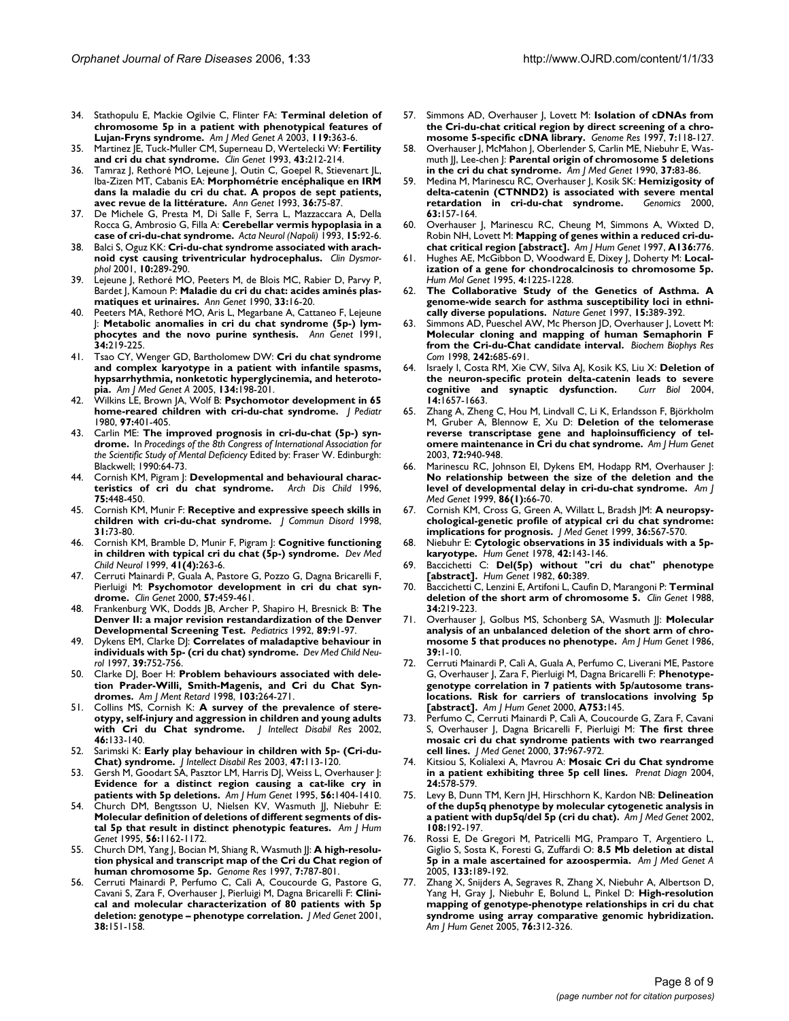- 34. Stathopulu E, Mackie Ogilvie C, Flinter FA: **[Terminal deletion of](http://www.ncbi.nlm.nih.gov/entrez/query.fcgi?cmd=Retrieve&db=PubMed&dopt=Abstract&list_uids=12784307) [chromosome 5p in a patient with phenotypical features of](http://www.ncbi.nlm.nih.gov/entrez/query.fcgi?cmd=Retrieve&db=PubMed&dopt=Abstract&list_uids=12784307) [Lujan-Fryns syndrome.](http://www.ncbi.nlm.nih.gov/entrez/query.fcgi?cmd=Retrieve&db=PubMed&dopt=Abstract&list_uids=12784307)** *Am J Med Genet A* 2003, **119:**363-6.
- 35. Martinez JE, Tuck-Muller CM, Superneau D, Wertelecki W: **[Fertility](http://www.ncbi.nlm.nih.gov/entrez/query.fcgi?cmd=Retrieve&db=PubMed&dopt=Abstract&list_uids=8330455) [and cri du chat syndrome.](http://www.ncbi.nlm.nih.gov/entrez/query.fcgi?cmd=Retrieve&db=PubMed&dopt=Abstract&list_uids=8330455)** *Clin Genet* 1993, **43:**212-214.
- 36. Tamraz J, Rethoré MO, Lejeune J, Outin C, Goepel R, Stievenart JL Iba-Zizen MT, Cabanis EA: **[Morphométrie encéphalique en IRM](http://www.ncbi.nlm.nih.gov/entrez/query.fcgi?cmd=Retrieve&db=PubMed&dopt=Abstract&list_uids=8215223) [dans la maladie du cri du chat. A propos de sept patients,](http://www.ncbi.nlm.nih.gov/entrez/query.fcgi?cmd=Retrieve&db=PubMed&dopt=Abstract&list_uids=8215223) [avec revue de la littérature.](http://www.ncbi.nlm.nih.gov/entrez/query.fcgi?cmd=Retrieve&db=PubMed&dopt=Abstract&list_uids=8215223)** *Ann Genet* 1993, **36:**75-87.
- 37. De Michele G, Presta M, Di Salle F, Serra L, Mazzaccara A, Della Rocca G, Ambrosio G, Filla A: **[Cerebellar vermis hypoplasia in a](http://www.ncbi.nlm.nih.gov/entrez/query.fcgi?cmd=Retrieve&db=PubMed&dopt=Abstract&list_uids=8328329) [case of cri-du-chat syndrome.](http://www.ncbi.nlm.nih.gov/entrez/query.fcgi?cmd=Retrieve&db=PubMed&dopt=Abstract&list_uids=8328329)** *Acta Neurol (Napoli)* 1993, **15:**92-6.
- 38. Balci S, Oguz KK: **[Cri-du-chat syndrome associated with arach](http://www.ncbi.nlm.nih.gov/entrez/query.fcgi?cmd=Retrieve&db=PubMed&dopt=Abstract&list_uids=11666006)[noid cyst causing triventricular hydrocephalus.](http://www.ncbi.nlm.nih.gov/entrez/query.fcgi?cmd=Retrieve&db=PubMed&dopt=Abstract&list_uids=11666006)** *Clin Dysmorphol* 2001, **10:**289-290.
- Lejeune J, Rethoré MO, Peeters M, de Blois MC, Rabier D, Parvy P, Bardet J, Kamoun P: **[Maladie du cri du chat: acides aminés plas](http://www.ncbi.nlm.nih.gov/entrez/query.fcgi?cmd=Retrieve&db=PubMed&dopt=Abstract&list_uids=2369068)[matiques et urinaires.](http://www.ncbi.nlm.nih.gov/entrez/query.fcgi?cmd=Retrieve&db=PubMed&dopt=Abstract&list_uids=2369068)** *Ann Genet* 1990, **33:**16-20.
- 40. Peeters MA, Rethoré MO, Aris L, Megarbane A, Cattaneo F, Lejeune J: **[Metabolic anomalies in cri du chat syndrome \(5p-\) lym](http://www.ncbi.nlm.nih.gov/entrez/query.fcgi?cmd=Retrieve&db=PubMed&dopt=Abstract&list_uids=1809230)[phocytes and the novo purine synthesis.](http://www.ncbi.nlm.nih.gov/entrez/query.fcgi?cmd=Retrieve&db=PubMed&dopt=Abstract&list_uids=1809230)** *Ann Genet* 1991, **34:**219-225.
- 41. Tsao CY, Wenger GD, Bartholomew DW: **[Cri du chat syndrome](http://www.ncbi.nlm.nih.gov/entrez/query.fcgi?cmd=Retrieve&db=PubMed&dopt=Abstract&list_uids=15690344) [and complex karyotype in a patient with infantile spasms,](http://www.ncbi.nlm.nih.gov/entrez/query.fcgi?cmd=Retrieve&db=PubMed&dopt=Abstract&list_uids=15690344) hypsarrhythmia, nonketotic hyperglycinemia, and heteroto[pia.](http://www.ncbi.nlm.nih.gov/entrez/query.fcgi?cmd=Retrieve&db=PubMed&dopt=Abstract&list_uids=15690344)** *Am J Med Genet A* 2005, **134:**198-201.
- 42. Wilkins LE, Brown JA, Wolf B: **[Psychomotor development in 65](http://www.ncbi.nlm.nih.gov/entrez/query.fcgi?cmd=Retrieve&db=PubMed&dopt=Abstract&list_uids=7411302) [home-reared children with cri-du-chat syndrome.](http://www.ncbi.nlm.nih.gov/entrez/query.fcgi?cmd=Retrieve&db=PubMed&dopt=Abstract&list_uids=7411302)** *J Pediatr* 1980, **97:**401-405.
- 43. Carlin ME: **The improved prognosis in cri-du-chat (5p-) syndrome.** In *Procedings of the 8th Congress of International Association for the Scientific Study of Mental Deficiency* Edited by: Fraser W. Edinburgh: Blackwell; 1990:64-73.
- 44. Cornish KM, Pigram J: **[Developmental and behavioural charac](http://www.ncbi.nlm.nih.gov/entrez/query.fcgi?cmd=Retrieve&db=PubMed&dopt=Abstract&list_uids=8957962)[teristics of cri du chat syndrome.](http://www.ncbi.nlm.nih.gov/entrez/query.fcgi?cmd=Retrieve&db=PubMed&dopt=Abstract&list_uids=8957962)** *Arch Dis Child* 1996, **75:**448-450.
- 45. Cornish KM, Munir F: **[Receptive and expressive speech skills in](http://www.ncbi.nlm.nih.gov/entrez/query.fcgi?cmd=Retrieve&db=PubMed&dopt=Abstract&list_uids=9421768) [children with cri-du-chat syndrome.](http://www.ncbi.nlm.nih.gov/entrez/query.fcgi?cmd=Retrieve&db=PubMed&dopt=Abstract&list_uids=9421768)** *J Commun Disord* 1998, **31:**73-80.
- 46. Cornish KM, Bramble D, Munir F, Pigram J: **[Cognitive functioning](http://www.ncbi.nlm.nih.gov/entrez/query.fcgi?cmd=Retrieve&db=PubMed&dopt=Abstract&list_uids=10355811) [in children with typical cri du chat \(5p-\) syndrome.](http://www.ncbi.nlm.nih.gov/entrez/query.fcgi?cmd=Retrieve&db=PubMed&dopt=Abstract&list_uids=10355811)** *Dev Med Child Neurol* 1999, **41(4):**263-6.
- 47. Cerruti Mainardi P, Guala A, Pastore G, Pozzo G, Dagna Bricarelli F, Pierluigi M: **[Psychomotor development in cri du chat syn](http://www.ncbi.nlm.nih.gov/entrez/query.fcgi?cmd=Retrieve&db=PubMed&dopt=Abstract&list_uids=10905669)[drome.](http://www.ncbi.nlm.nih.gov/entrez/query.fcgi?cmd=Retrieve&db=PubMed&dopt=Abstract&list_uids=10905669)** *Clin Genet* 2000, **57:**459-461.
- 48. Frankenburg WK, Dodds JB, Archer P, Shapiro H, Bresnick B: **[The](http://www.ncbi.nlm.nih.gov/entrez/query.fcgi?cmd=Retrieve&db=PubMed&dopt=Abstract&list_uids=1370185) [Denver II: a major revision restandardization of the Denver](http://www.ncbi.nlm.nih.gov/entrez/query.fcgi?cmd=Retrieve&db=PubMed&dopt=Abstract&list_uids=1370185) [Developmental Screening Test.](http://www.ncbi.nlm.nih.gov/entrez/query.fcgi?cmd=Retrieve&db=PubMed&dopt=Abstract&list_uids=1370185)** *Pediatrics* 1992, **89:**91-97.
- 49. Dykens EM, Clarke DJ: **[Correlates of maladaptive behaviour in](http://www.ncbi.nlm.nih.gov/entrez/query.fcgi?cmd=Retrieve&db=PubMed&dopt=Abstract&list_uids=9393889) [individuals with 5p- \(cri du chat\) syndrome.](http://www.ncbi.nlm.nih.gov/entrez/query.fcgi?cmd=Retrieve&db=PubMed&dopt=Abstract&list_uids=9393889)** *Dev Med Child Neurol* 1997, **39:**752-756.
- 50. Clarke DJ, Boer H: **[Problem behaviours associated with dele](http://www.ncbi.nlm.nih.gov/entrez/query.fcgi?cmd=Retrieve&db=PubMed&dopt=Abstract&list_uids=9833657)[tion Prader-Willi, Smith-Magenis, and Cri du Chat Syn](http://www.ncbi.nlm.nih.gov/entrez/query.fcgi?cmd=Retrieve&db=PubMed&dopt=Abstract&list_uids=9833657)[dromes.](http://www.ncbi.nlm.nih.gov/entrez/query.fcgi?cmd=Retrieve&db=PubMed&dopt=Abstract&list_uids=9833657)** *Am J Ment Retard* 1998, **103:**264-271.
- 51. Collins MS, Cornish K: **[A survey of the prevalence of stere](http://www.ncbi.nlm.nih.gov/entrez/query.fcgi?cmd=Retrieve&db=PubMed&dopt=Abstract&list_uids=11869383)[otypy, self-injury and aggression in children and young adults](http://www.ncbi.nlm.nih.gov/entrez/query.fcgi?cmd=Retrieve&db=PubMed&dopt=Abstract&list_uids=11869383) [with Cri du Chat syndrome.](http://www.ncbi.nlm.nih.gov/entrez/query.fcgi?cmd=Retrieve&db=PubMed&dopt=Abstract&list_uids=11869383)** *J Intellect Disabil Res* 2002, **46:**133-140.
- 52. Sarimski K: **[Early play behaviour in children with 5p- \(Cri-du-](http://www.ncbi.nlm.nih.gov/entrez/query.fcgi?cmd=Retrieve&db=PubMed&dopt=Abstract&list_uids=12542577)[Chat\) syndrome.](http://www.ncbi.nlm.nih.gov/entrez/query.fcgi?cmd=Retrieve&db=PubMed&dopt=Abstract&list_uids=12542577)** *J Intellect Disabil Res* 2003, **47:**113-120.
- 53. Gersh M, Goodart SA, Pasztor LM, Harris DJ, Weiss L, Overhauser J: **[Evidence for a distinct region causing a cat-like cry in](http://www.ncbi.nlm.nih.gov/entrez/query.fcgi?cmd=Retrieve&db=PubMed&dopt=Abstract&list_uids=7762563) [patients with 5p deletions.](http://www.ncbi.nlm.nih.gov/entrez/query.fcgi?cmd=Retrieve&db=PubMed&dopt=Abstract&list_uids=7762563)** *Am J Hum Genet* 1995, **56:**1404-1410.
- Church DM, Bengtsson U, Nielsen KV, Wasmuth JJ, Niebuhr E: **[Molecular definition of deletions of different segments of dis](http://www.ncbi.nlm.nih.gov/entrez/query.fcgi?cmd=Retrieve&db=PubMed&dopt=Abstract&list_uids=7726173)[tal 5p that result in distinct phenotypic features.](http://www.ncbi.nlm.nih.gov/entrez/query.fcgi?cmd=Retrieve&db=PubMed&dopt=Abstract&list_uids=7726173)** *Am J Hum Genet* 1995, **56:**1162-1172.
- 55. Church DM, Yang J, Bocian M, Shiang R, Wasmuth JJ: [A high-resolu](http://www.ncbi.nlm.nih.gov/entrez/query.fcgi?cmd=Retrieve&db=PubMed&dopt=Abstract&list_uids=9267803)**[tion physical and transcript map of the Cri du Chat region of](http://www.ncbi.nlm.nih.gov/entrez/query.fcgi?cmd=Retrieve&db=PubMed&dopt=Abstract&list_uids=9267803) [human chromosome 5p.](http://www.ncbi.nlm.nih.gov/entrez/query.fcgi?cmd=Retrieve&db=PubMed&dopt=Abstract&list_uids=9267803)** *Genome Res* 1997, **7:**787-801.
- 56. Cerruti Mainardi P, Perfumo C, Calì A, Coucourde G, Pastore G, Cavani S, Zara F, Overhauser J, Pierluigi M, Dagna Bricarelli F: **[Clini](http://www.ncbi.nlm.nih.gov/entrez/query.fcgi?cmd=Retrieve&db=PubMed&dopt=Abstract&list_uids=11238681)[cal and molecular characterization of 80 patients with 5p](http://www.ncbi.nlm.nih.gov/entrez/query.fcgi?cmd=Retrieve&db=PubMed&dopt=Abstract&list_uids=11238681) [deletion: genotype – phenotype correlation.](http://www.ncbi.nlm.nih.gov/entrez/query.fcgi?cmd=Retrieve&db=PubMed&dopt=Abstract&list_uids=11238681)** *J Med Genet* 2001, **38:**151-158.
- 57. Simmons AD, Overhauser J, Lovett M: **[Isolation of cDNAs from](http://www.ncbi.nlm.nih.gov/entrez/query.fcgi?cmd=Retrieve&db=PubMed&dopt=Abstract&list_uids=9049630) [the Cri-du-chat critical region by direct screening of a chro](http://www.ncbi.nlm.nih.gov/entrez/query.fcgi?cmd=Retrieve&db=PubMed&dopt=Abstract&list_uids=9049630)[mosome 5-specific cDNA library.](http://www.ncbi.nlm.nih.gov/entrez/query.fcgi?cmd=Retrieve&db=PubMed&dopt=Abstract&list_uids=9049630)** *Genome Res* 1997, **7:**118-127.
- 58. Overhauser J, McMahon J, Oberlender S, Carlin ME, Niebuhr E, Wasmuth JJ, Lee-chen J: **[Parental origin of chromosome 5 deletions](http://www.ncbi.nlm.nih.gov/entrez/query.fcgi?cmd=Retrieve&db=PubMed&dopt=Abstract&list_uids=1978567) [in the cri du chat syndrome.](http://www.ncbi.nlm.nih.gov/entrez/query.fcgi?cmd=Retrieve&db=PubMed&dopt=Abstract&list_uids=1978567)** *Am J Med Genet* 1990, **37:**83-86.
- 59. Medina M, Marinescu RC, Overhauser J, Kosik SK: **[Hemizigosity of](http://www.ncbi.nlm.nih.gov/entrez/query.fcgi?cmd=Retrieve&db=PubMed&dopt=Abstract&list_uids=10673328) [delta-catenin \(CTNND2\) is associated with severe mental](http://www.ncbi.nlm.nih.gov/entrez/query.fcgi?cmd=Retrieve&db=PubMed&dopt=Abstract&list_uids=10673328) [retardation in cri-du-chat syndrome.](http://www.ncbi.nlm.nih.gov/entrez/query.fcgi?cmd=Retrieve&db=PubMed&dopt=Abstract&list_uids=10673328)** *Genomics* 2000, **63:**157-164.
- 60. Overhauser J, Marinescu RC, Cheung M, Simmons A, Wixted D, Robin NH, Lovett M: **Mapping of genes within a reduced cri-duchat critical region [abstract].** *Am J Hum Genet* 1997, **A136:**776.
- 61. Hughes AE, McGibbon D, Woodward E, Dixey J, Doherty M: **[Local](http://www.ncbi.nlm.nih.gov/entrez/query.fcgi?cmd=Retrieve&db=PubMed&dopt=Abstract&list_uids=8528213)[ization of a gene for chondrocalcinosis to chromosome 5p.](http://www.ncbi.nlm.nih.gov/entrez/query.fcgi?cmd=Retrieve&db=PubMed&dopt=Abstract&list_uids=8528213)** *Hum Mol Genet* 1995, **4:**1225-1228.
- 62. **[The Collaborative Study of the Genetics of Asthma. A](http://www.ncbi.nlm.nih.gov/entrez/query.fcgi?cmd=Retrieve&db=PubMed&dopt=Abstract&list_uids=9090385) [genome-wide search for asthma susceptibility loci in ethni](http://www.ncbi.nlm.nih.gov/entrez/query.fcgi?cmd=Retrieve&db=PubMed&dopt=Abstract&list_uids=9090385)[cally diverse populations.](http://www.ncbi.nlm.nih.gov/entrez/query.fcgi?cmd=Retrieve&db=PubMed&dopt=Abstract&list_uids=9090385)** *Nature Genet* 1997, **15:**389-392.
- 63. Simmons AD, Pueschel AW, Mc Pherson JD, Overhauser J, Lovett M: **[Molecular cloning and mapping of human Semaphorin F](http://www.ncbi.nlm.nih.gov/entrez/query.fcgi?cmd=Retrieve&db=PubMed&dopt=Abstract&list_uids=9464278) [from the Cri-du-Chat candidate interval.](http://www.ncbi.nlm.nih.gov/entrez/query.fcgi?cmd=Retrieve&db=PubMed&dopt=Abstract&list_uids=9464278)** *Biochem Biophys Res Com* 1998, **242:**685-691.
- 64. Israely I, Costa RM, Xie CW, Silva AJ, Kosik KS, Liu X: **[Deletion of](http://www.ncbi.nlm.nih.gov/entrez/query.fcgi?cmd=Retrieve&db=PubMed&dopt=Abstract&list_uids=15380068) [the neuron-specific protein delta-catenin leads to severe](http://www.ncbi.nlm.nih.gov/entrez/query.fcgi?cmd=Retrieve&db=PubMed&dopt=Abstract&list_uids=15380068)** [cognitive and synaptic dysfunction.](http://www.ncbi.nlm.nih.gov/entrez/query.fcgi?cmd=Retrieve&db=PubMed&dopt=Abstract&list_uids=15380068) **14:**1657-1663.
- 65. Zhang A, Zheng C, Hou M, Lindvall C, Li K, Erlandsson F, Björkholm M, Gruber A, Blennow E, Xu D: **[Deletion of the telomerase](http://www.ncbi.nlm.nih.gov/entrez/query.fcgi?cmd=Retrieve&db=PubMed&dopt=Abstract&list_uids=12629597) [reverse transcriptase gene and haploinsufficiency of tel](http://www.ncbi.nlm.nih.gov/entrez/query.fcgi?cmd=Retrieve&db=PubMed&dopt=Abstract&list_uids=12629597)[omere maintenance in Cri du chat syndrome.](http://www.ncbi.nlm.nih.gov/entrez/query.fcgi?cmd=Retrieve&db=PubMed&dopt=Abstract&list_uids=12629597)** *Am J Hum Genet* 2003, **72:**940-948.
- 66. Marinescu RC, Johnson EI, Dykens EM, Hodapp RM, Overhauser J: **[No relationship between the size of the deletion and the](http://www.ncbi.nlm.nih.gov/entrez/query.fcgi?cmd=Retrieve&db=PubMed&dopt=Abstract&list_uids=10440833) [level of developmental delay in cri-du-chat syndrome.](http://www.ncbi.nlm.nih.gov/entrez/query.fcgi?cmd=Retrieve&db=PubMed&dopt=Abstract&list_uids=10440833)** *Am J Med Genet* 1999, **86(1):**66-70.
- 67. Cornish KM, Cross G, Green A, Willatt L, Bradsh JM: **[A neuropsy](http://www.ncbi.nlm.nih.gov/entrez/query.fcgi?cmd=Retrieve&db=PubMed&dopt=Abstract&list_uids=10424821)[chological-genetic profile of atypical cri du chat syndrome:](http://www.ncbi.nlm.nih.gov/entrez/query.fcgi?cmd=Retrieve&db=PubMed&dopt=Abstract&list_uids=10424821) [implications for prognosis.](http://www.ncbi.nlm.nih.gov/entrez/query.fcgi?cmd=Retrieve&db=PubMed&dopt=Abstract&list_uids=10424821)** *J Med Genet* 1999, **36:**567-570.
- 68. Niebuhr E: **[Cytologic observations in 35 individuals with a 5p](http://www.ncbi.nlm.nih.gov/entrez/query.fcgi?cmd=Retrieve&db=PubMed&dopt=Abstract&list_uids=669700)[karyotype.](http://www.ncbi.nlm.nih.gov/entrez/query.fcgi?cmd=Retrieve&db=PubMed&dopt=Abstract&list_uids=669700)** *Hum Genet* 1978, **42:**143-146.
- 69. Baccichetti C: **Del(5p) without "cri du chat" phenotype [abstract].** *Hum Genet* 1982, **60:**389.
- 70. Baccichetti C, Lenzini E, Artifoni L, Caufin D, Marangoni P: **[Terminal](http://www.ncbi.nlm.nih.gov/entrez/query.fcgi?cmd=Retrieve&db=PubMed&dopt=Abstract&list_uids=3233775) [deletion of the short arm of chromosome 5.](http://www.ncbi.nlm.nih.gov/entrez/query.fcgi?cmd=Retrieve&db=PubMed&dopt=Abstract&list_uids=3233775)** *Clin Genet* 1988, **34:**219-223.
- 71. Overhauser J, Golbus MS, Schonberg SA, Wasmuth JJ: [Molecular](http://www.ncbi.nlm.nih.gov/entrez/query.fcgi?cmd=Retrieve&db=PubMed&dopt=Abstract&list_uids=3752077) **[analysis of an unbalanced deletion of the short arm of chro](http://www.ncbi.nlm.nih.gov/entrez/query.fcgi?cmd=Retrieve&db=PubMed&dopt=Abstract&list_uids=3752077)[mosome 5 that produces no phenotype.](http://www.ncbi.nlm.nih.gov/entrez/query.fcgi?cmd=Retrieve&db=PubMed&dopt=Abstract&list_uids=3752077)** *Am J Hum Genet* 1986, **39:**1-10.
- 72. Cerruti Mainardi P, Calì A, Guala A, Perfumo C, Liverani ME, Pastore G, Overhauser J, Zara F, Pierluigi M, Dagna Bricarelli F: **Phenotypegenotype correlation in 7 patients with 5p/autosome translocations. Risk for carriers of translocations involving 5p [abstract].** *Am J Hum Genet* 2000, **A753:**145.
- 73. Perfumo C, Cerruti Mainardi P, Calì A, Coucourde G, Zara F, Cavani S, Overhauser J, Dagna Bricarelli F, Pierluigi M: **[The first three](http://www.ncbi.nlm.nih.gov/entrez/query.fcgi?cmd=Retrieve&db=PubMed&dopt=Abstract&list_uids=11186943) [mosaic cri du chat syndrome patients with two rearranged](http://www.ncbi.nlm.nih.gov/entrez/query.fcgi?cmd=Retrieve&db=PubMed&dopt=Abstract&list_uids=11186943) [cell lines.](http://www.ncbi.nlm.nih.gov/entrez/query.fcgi?cmd=Retrieve&db=PubMed&dopt=Abstract&list_uids=11186943)** *J Med Genet* 2000, **37:**967-972.
- 74. Kitsiou S, Kolialexi A, Mavrou A: **[Mosaic Cri du Chat syndrome](http://www.ncbi.nlm.nih.gov/entrez/query.fcgi?cmd=Retrieve&db=PubMed&dopt=Abstract&list_uids=15300755) [in a patient exhibiting three 5p cell lines.](http://www.ncbi.nlm.nih.gov/entrez/query.fcgi?cmd=Retrieve&db=PubMed&dopt=Abstract&list_uids=15300755)** *Prenat Diagn* 2004, **24:**578-579.
- 75. Levy B, Dunn TM, Kern JH, Hirschhorn K, Kardon NB: **[Delineation](http://www.ncbi.nlm.nih.gov/entrez/query.fcgi?cmd=Retrieve&db=PubMed&dopt=Abstract&list_uids=11891684) [of the dup5q phenotype by molecular cytogenetic analysis in](http://www.ncbi.nlm.nih.gov/entrez/query.fcgi?cmd=Retrieve&db=PubMed&dopt=Abstract&list_uids=11891684) [a patient with dup5q/del 5p \(cri du chat\).](http://www.ncbi.nlm.nih.gov/entrez/query.fcgi?cmd=Retrieve&db=PubMed&dopt=Abstract&list_uids=11891684)** *Am J Med Genet* 2002, **108:**192-197.
- Rossi E, De Gregori M, Patricelli MG, Pramparo T, Argentiero L, Giglio S, Sosta K, Foresti G, Zuffardi O: **[8.5 Mb deletion at distal](http://www.ncbi.nlm.nih.gov/entrez/query.fcgi?cmd=Retrieve&db=PubMed&dopt=Abstract&list_uids=15669096) [5p in a male ascertained for azoospermia.](http://www.ncbi.nlm.nih.gov/entrez/query.fcgi?cmd=Retrieve&db=PubMed&dopt=Abstract&list_uids=15669096)** *Am J Med Genet A* 2005, **133:**189-192.
- 77. Zhang X, Snijders A, Segraves R, Zhang X, Niebuhr A, Albertson D, Yang H, Gray J, Niebuhr E, Bolund L, Pinkel D: **[High-resolution](http://www.ncbi.nlm.nih.gov/entrez/query.fcgi?cmd=Retrieve&db=PubMed&dopt=Abstract&list_uids=15635506) [mapping of genotype-phenotype relationships in cri du chat](http://www.ncbi.nlm.nih.gov/entrez/query.fcgi?cmd=Retrieve&db=PubMed&dopt=Abstract&list_uids=15635506) syndrome using array comparative genomic hybridization.** *Am J Hum Genet* 2005, **76:**312-326.